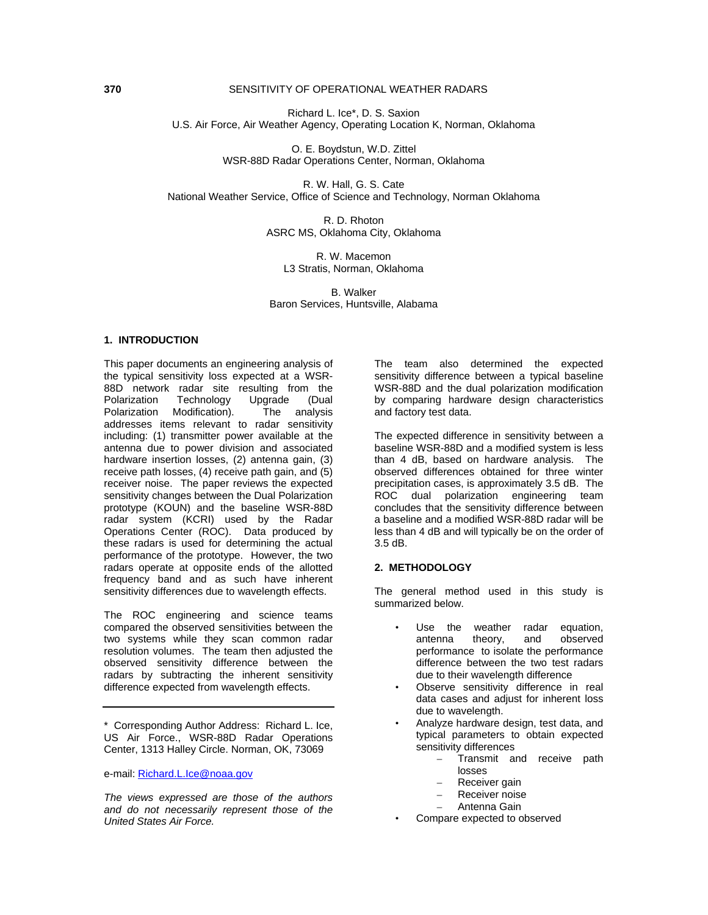### **370** SENSITIVITY OF OPERATIONAL WEATHER RADARS

Richard L. Ice\*, D. S. Saxion U.S. Air Force, Air Weather Agency, Operating Location K, Norman, Oklahoma

> O. E. Boydstun, W.D. Zittel WSR-88D Radar Operations Center, Norman, Oklahoma

R. W. Hall, G. S. Cate National Weather Service, Office of Science and Technology, Norman Oklahoma

> R. D. Rhoton ASRC MS, Oklahoma City, Oklahoma

R. W. Macemon L3 Stratis, Norman, Oklahoma

B. Walker Baron Services, Huntsville, Alabama

#### **1. INTRODUCTION**

This paper documents an engineering analysis of the typical sensitivity loss expected at a WSR-88D network radar site resulting from the<br>Polarization Technology Upgrade (Dual Technology Upgrade (Dual<br>Modification). The analysis Polarization Modification). addresses items relevant to radar sensitivity including: (1) transmitter power available at the antenna due to power division and associated hardware insertion losses, (2) antenna gain, (3) receive path losses, (4) receive path gain, and (5) receiver noise. The paper reviews the expected sensitivity changes between the Dual Polarization prototype (KOUN) and the baseline WSR-88D radar system (KCRI) used by the Radar Operations Center (ROC). Data produced by these radars is used for determining the actual performance of the prototype. However, the two radars operate at opposite ends of the allotted frequency band and as such have inherent sensitivity differences due to wavelength effects.

The ROC engineering and science teams compared the observed sensitivities between the two systems while they scan common radar resolution volumes. The team then adjusted the observed sensitivity difference between the radars by subtracting the inherent sensitivity difference expected from wavelength effects.

\* Corresponding Author Address: Richard L. Ice, US Air Force., WSR-88D Radar Operations Center, 1313 Halley Circle. Norman, OK, 73069

e-mail: Richard.L.Ice@noaa.gov

*The views expressed are those of the authors and do not necessarily represent those of the United States Air Force.* 

The team also determined the expected sensitivity difference between a typical baseline WSR-88D and the dual polarization modification by comparing hardware design characteristics and factory test data.

The expected difference in sensitivity between a baseline WSR-88D and a modified system is less than 4 dB, based on hardware analysis. The observed differences obtained for three winter precipitation cases, is approximately 3.5 dB. The ROC dual polarization engineering team concludes that the sensitivity difference between a baseline and a modified WSR-88D radar will be less than 4 dB and will typically be on the order of 3.5 dB.

#### **2. METHODOLOGY**

The general method used in this study is summarized below.

- Use the weather radar equation, antenna theory, and observed performance to isolate the performance difference between the two test radars due to their wavelength difference
- Observe sensitivity difference in real data cases and adjust for inherent loss due to wavelength.
- Analyze hardware design, test data, and typical parameters to obtain expected sensitivity differences
	- Transmit and receive path losses
	- Receiver gain
	- Receiver noise
	- Antenna Gain
- Compare expected to observed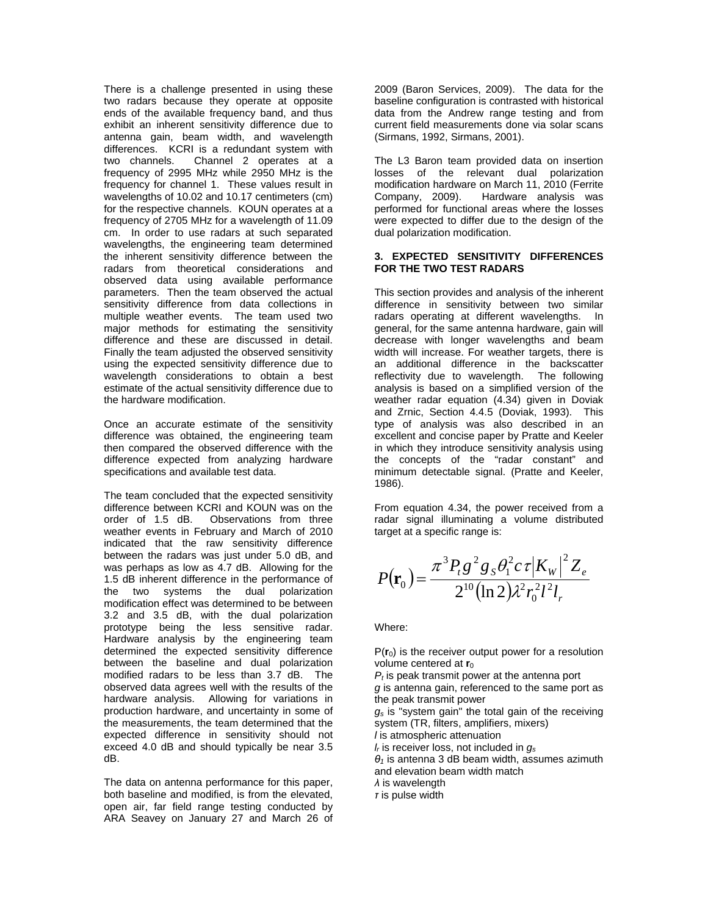There is a challenge presented in using these two radars because they operate at opposite ends of the available frequency band, and thus exhibit an inherent sensitivity difference due to antenna gain, beam width, and wavelength differences. KCRI is a redundant system with two channels. Channel 2 operates at a frequency of 2995 MHz while 2950 MHz is the frequency for channel 1. These values result in wavelengths of 10.02 and 10.17 centimeters (cm) for the respective channels. KOUN operates at a frequency of 2705 MHz for a wavelength of 11.09 cm. In order to use radars at such separated wavelengths, the engineering team determined the inherent sensitivity difference between the radars from theoretical considerations and observed data using available performance parameters. Then the team observed the actual sensitivity difference from data collections in multiple weather events. The team used two major methods for estimating the sensitivity difference and these are discussed in detail. Finally the team adjusted the observed sensitivity using the expected sensitivity difference due to wavelength considerations to obtain a best estimate of the actual sensitivity difference due to the hardware modification.

Once an accurate estimate of the sensitivity difference was obtained, the engineering team then compared the observed difference with the difference expected from analyzing hardware specifications and available test data.

The team concluded that the expected sensitivity difference between KCRI and KOUN was on the order of 1.5 dB. Observations from three weather events in February and March of 2010 indicated that the raw sensitivity difference between the radars was just under 5.0 dB, and was perhaps as low as 4.7 dB. Allowing for the 1.5 dB inherent difference in the performance of the two systems the dual polarization modification effect was determined to be between 3.2 and 3.5 dB, with the dual polarization prototype being the less sensitive radar. Hardware analysis by the engineering team determined the expected sensitivity difference between the baseline and dual polarization modified radars to be less than 3.7 dB. The observed data agrees well with the results of the hardware analysis. Allowing for variations in production hardware, and uncertainty in some of the measurements, the team determined that the expected difference in sensitivity should not exceed 4.0 dB and should typically be near 3.5 dB.

The data on antenna performance for this paper, both baseline and modified, is from the elevated, open air, far field range testing conducted by ARA Seavey on January 27 and March 26 of 2009 (Baron Services, 2009). The data for the baseline configuration is contrasted with historical data from the Andrew range testing and from current field measurements done via solar scans (Sirmans, 1992, Sirmans, 2001).

The L3 Baron team provided data on insertion losses of the relevant dual polarization modification hardware on March 11, 2010 (Ferrite<br>Company, 2009). Hardware analysis was Hardware analysis was performed for functional areas where the losses were expected to differ due to the design of the dual polarization modification.

### **3. EXPECTED SENSITIVITY DIFFERENCES FOR THE TWO TEST RADARS**

This section provides and analysis of the inherent difference in sensitivity between two similar radars operating at different wavelengths. In general, for the same antenna hardware, gain will decrease with longer wavelengths and beam width will increase. For weather targets, there is an additional difference in the backscatter reflectivity due to wavelength. The following analysis is based on a simplified version of the weather radar equation (4.34) given in Doviak and Zrnic, Section 4.4.5 (Doviak, 1993). This type of analysis was also described in an excellent and concise paper by Pratte and Keeler in which they introduce sensitivity analysis using the concepts of the "radar constant" and minimum detectable signal. (Pratte and Keeler, 1986).

From equation 4.34, the power received from a radar signal illuminating a volume distributed target at a specific range is:

$$
P(\mathbf{r}_0) = \frac{\pi^3 P_t g^2 g_s \theta_1^2 c \tau |K_w|^2 Z_e}{2^{10} (\ln 2) \lambda^2 r_0^2 l^2 l_r}
$$

Where:

 $P(r_0)$  is the receiver output power for a resolution volume centered at **r**<sub>0</sub>

*Pt* is peak transmit power at the antenna port *g* is antenna gain, referenced to the same port as the peak transmit power

*gs* is "system gain" the total gain of the receiving system (TR, filters, amplifiers, mixers)

*l* is atmospheric attenuation

*lr* is receiver loss, not included in *gs*

*θ1* is antenna 3 dB beam width, assumes azimuth and elevation beam width match

*λ* is wavelength

*τ* is pulse width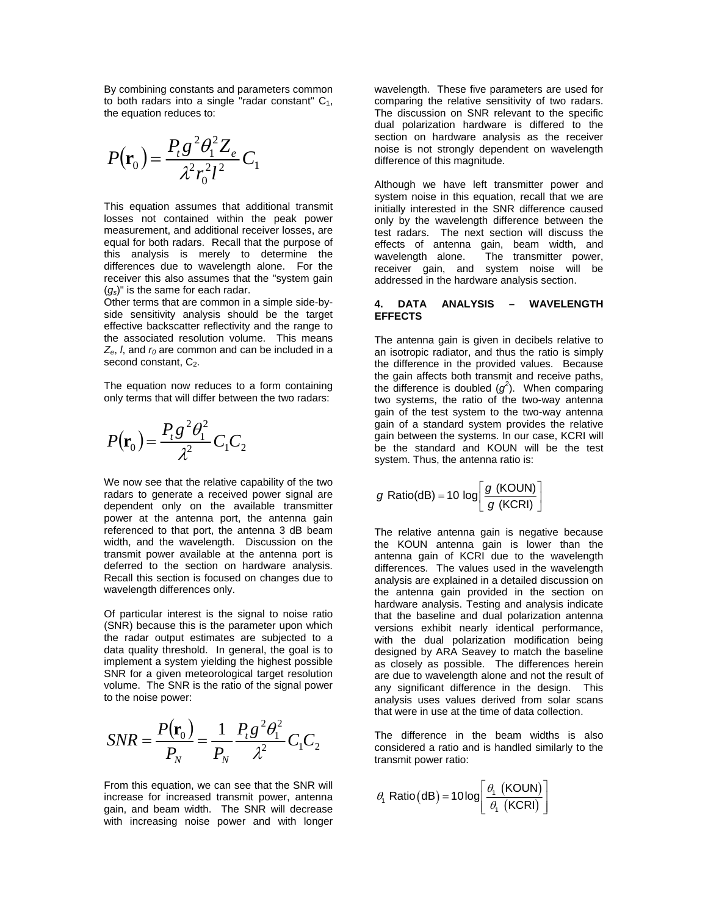By combining constants and parameters common to both radars into a single "radar constant"  $C_1$ , the equation reduces to:

$$
P(\mathbf{r}_0) = \frac{P_t g^2 \theta_1^2 Z_e}{\lambda^2 r_0^2 l^2} C_1
$$

This equation assumes that additional transmit losses not contained within the peak power measurement, and additional receiver losses, are equal for both radars. Recall that the purpose of this analysis is merely to determine the differences due to wavelength alone. For the receiver this also assumes that the "system gain (*gs*)" is the same for each radar.

Other terms that are common in a simple side-byside sensitivity analysis should be the target effective backscatter reflectivity and the range to the associated resolution volume. This means  $Z_e$ , *l*, and  $r_0$  are common and can be included in a second constant,  $C_2$ .

The equation now reduces to a form containing only terms that will differ between the two radars:

$$
P(\mathbf{r}_0) = \frac{P_t g^2 \theta_1^2}{\lambda^2} C_1 C_2
$$

We now see that the relative capability of the two radars to generate a received power signal are dependent only on the available transmitter power at the antenna port, the antenna gain referenced to that port, the antenna 3 dB beam width, and the wavelength. Discussion on the transmit power available at the antenna port is deferred to the section on hardware analysis. Recall this section is focused on changes due to wavelength differences only.

Of particular interest is the signal to noise ratio (SNR) because this is the parameter upon which the radar output estimates are subjected to a data quality threshold. In general, the goal is to implement a system yielding the highest possible SNR for a given meteorological target resolution volume. The SNR is the ratio of the signal power to the noise power:

$$
SNR = \frac{P(\mathbf{r}_0)}{P_N} = \frac{1}{P_N} \frac{P_t g^2 \theta_1^2}{\lambda^2} C_1 C_2
$$

From this equation, we can see that the SNR will increase for increased transmit power, antenna gain, and beam width. The SNR will decrease with increasing noise power and with longer

wavelength. These five parameters are used for comparing the relative sensitivity of two radars. The discussion on SNR relevant to the specific dual polarization hardware is differed to the section on hardware analysis as the receiver noise is not strongly dependent on wavelength difference of this magnitude.

Although we have left transmitter power and system noise in this equation, recall that we are initially interested in the SNR difference caused only by the wavelength difference between the test radars. The next section will discuss the effects of antenna gain, beam width, and wavelength alone. The transmitter power, receiver gain, and system noise will be addressed in the hardware analysis section.

#### **4. DATA ANALYSIS – WAVELENGTH EFFECTS**

The antenna gain is given in decibels relative to an isotropic radiator, and thus the ratio is simply the difference in the provided values. Because the gain affects both transmit and receive paths, the difference is doubled  $(g^2)$ . When comparing two systems, the ratio of the two-way antenna gain of the test system to the two-way antenna gain of a standard system provides the relative gain between the systems. In our case, KCRI will be the standard and KOUN will be the test system. Thus, the antenna ratio is:

$$
g \text{ Ratio(dB)} = 10 \text{ log} \left[ \frac{g \text{ (KOUN)}}{g \text{ (KCRI)}} \right]
$$

The relative antenna gain is negative because the KOUN antenna gain is lower than the antenna gain of KCRI due to the wavelength differences. The values used in the wavelength analysis are explained in a detailed discussion on the antenna gain provided in the section on hardware analysis. Testing and analysis indicate that the baseline and dual polarization antenna versions exhibit nearly identical performance, with the dual polarization modification being designed by ARA Seavey to match the baseline as closely as possible. The differences herein are due to wavelength alone and not the result of any significant difference in the design. This analysis uses values derived from solar scans that were in use at the time of data collection.

The difference in the beam widths is also considered a ratio and is handled similarly to the transmit power ratio:

$$
\theta_1 \text{ Ratio}\left(\text{dB}\right) = 10 \log \left[ \frac{\theta_1 \text{ (KOUN)}}{\theta_1 \text{ (KCRI)}} \right]
$$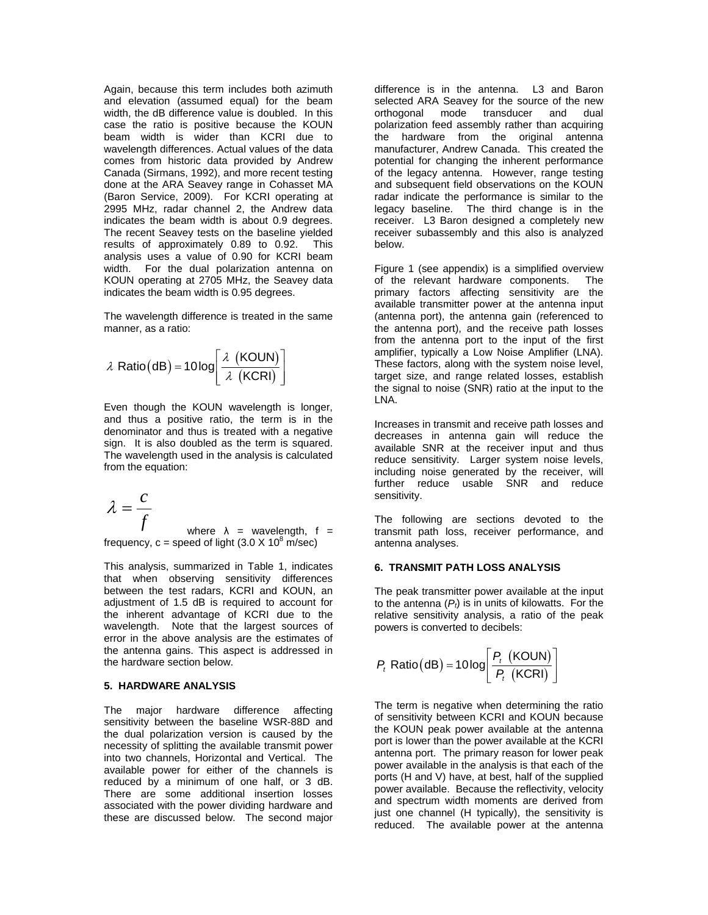Again, because this term includes both azimuth and elevation (assumed equal) for the beam width, the dB difference value is doubled. In this case the ratio is positive because the KOUN beam width is wider than KCRI due to wavelength differences. Actual values of the data comes from historic data provided by Andrew Canada (Sirmans, 1992), and more recent testing done at the ARA Seavey range in Cohasset MA (Baron Service, 2009). For KCRI operating at 2995 MHz, radar channel 2, the Andrew data indicates the beam width is about 0.9 degrees. The recent Seavey tests on the baseline yielded results of approximately 0.89 to 0.92. This analysis uses a value of 0.90 for KCRI beam width. For the dual polarization antenna on KOUN operating at 2705 MHz, the Seavey data indicates the beam width is 0.95 degrees.

The wavelength difference is treated in the same manner, as a ratio:

$$
\lambda \text{ Ratio}\left(\text{dB}\right) = 10 \log \left[ \frac{\lambda \text{ (KOUN)}}{\lambda \text{ (KCRI)}} \right]
$$

Even though the KOUN wavelength is longer, and thus a positive ratio, the term is in the denominator and thus is treated with a negative sign. It is also doubled as the term is squared. The wavelength used in the analysis is calculated from the equation:

$$
\lambda = \frac{c}{f}
$$

where  $\lambda$  = wavelength, f = frequency,  $c =$  speed of light (3.0 X 10<sup>8</sup> m/sec)

This analysis, summarized in Table 1, indicates that when observing sensitivity differences between the test radars, KCRI and KOUN, an adjustment of 1.5 dB is required to account for the inherent advantage of KCRI due to the wavelength. Note that the largest sources of error in the above analysis are the estimates of the antenna gains. This aspect is addressed in the hardware section below.

#### **5. HARDWARE ANALYSIS**

The major hardware difference affecting sensitivity between the baseline WSR-88D and the dual polarization version is caused by the necessity of splitting the available transmit power into two channels, Horizontal and Vertical. The available power for either of the channels is reduced by a minimum of one half, or 3 dB. There are some additional insertion losses associated with the power dividing hardware and these are discussed below. The second major

difference is in the antenna. L3 and Baron selected ARA Seavey for the source of the new<br>orthogonal mode transducer and dual orthogonal mode transducer and dual polarization feed assembly rather than acquiring the hardware from the original antenna manufacturer, Andrew Canada. This created the potential for changing the inherent performance of the legacy antenna. However, range testing and subsequent field observations on the KOUN radar indicate the performance is similar to the legacy baseline. The third change is in the receiver. L3 Baron designed a completely new receiver subassembly and this also is analyzed below.

Figure 1 (see appendix) is a simplified overview of the relevant hardware components. The primary factors affecting sensitivity are the available transmitter power at the antenna input (antenna port), the antenna gain (referenced to the antenna port), and the receive path losses from the antenna port to the input of the first amplifier, typically a Low Noise Amplifier (LNA). These factors, along with the system noise level, target size, and range related losses, establish the signal to noise (SNR) ratio at the input to the LNA.

Increases in transmit and receive path losses and decreases in antenna gain will reduce the available SNR at the receiver input and thus reduce sensitivity. Larger system noise levels, including noise generated by the receiver, will further reduce usable SNR and reduce sensitivity.

The following are sections devoted to the transmit path loss, receiver performance, and antenna analyses.

### **6. TRANSMIT PATH LOSS ANALYSIS**

The peak transmitter power available at the input to the antenna  $(P_t)$  is in units of kilowatts. For the relative sensitivity analysis, a ratio of the peak powers is converted to decibels:

$$
P_t \text{ Ratio}\text{(dB)} = 10 \log \left[ \frac{P_t \text{ (KOUN)}}{P_t \text{ (KCRI)}} \right]
$$

The term is negative when determining the ratio of sensitivity between KCRI and KOUN because the KOUN peak power available at the antenna port is lower than the power available at the KCRI antenna port. The primary reason for lower peak power available in the analysis is that each of the ports (H and V) have, at best, half of the supplied power available. Because the reflectivity, velocity and spectrum width moments are derived from just one channel (H typically), the sensitivity is reduced. The available power at the antenna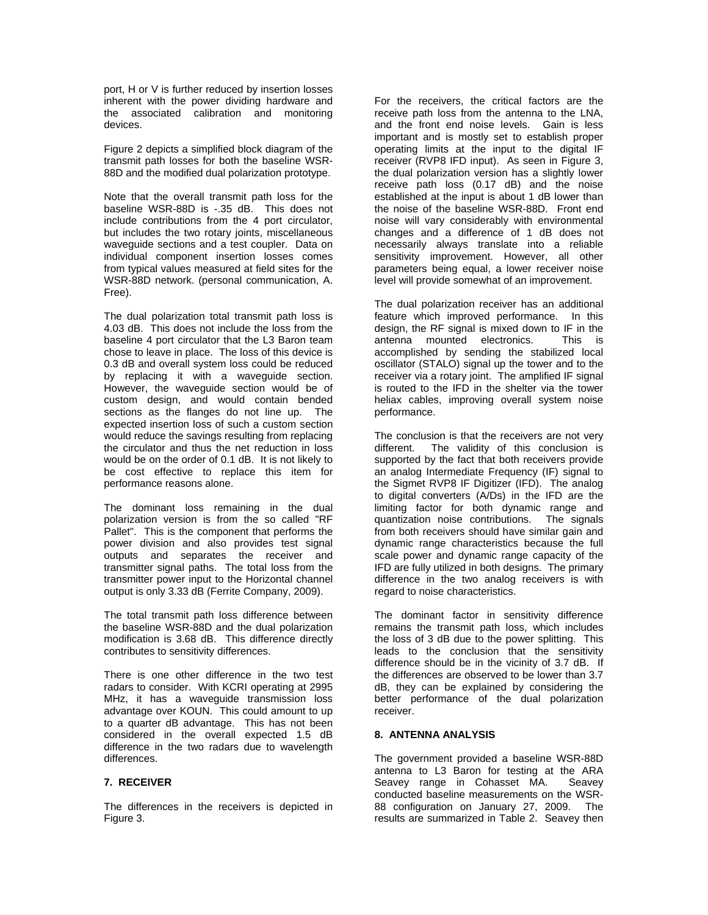port, H or V is further reduced by insertion losses inherent with the power dividing hardware and the associated calibration and monitoring devices.

Figure 2 depicts a simplified block diagram of the transmit path losses for both the baseline WSR-88D and the modified dual polarization prototype.

Note that the overall transmit path loss for the baseline WSR-88D is -.35 dB. This does not include contributions from the 4 port circulator, but includes the two rotary joints, miscellaneous waveguide sections and a test coupler. Data on individual component insertion losses comes from typical values measured at field sites for the WSR-88D network. (personal communication, A. Free).

The dual polarization total transmit path loss is 4.03 dB. This does not include the loss from the baseline 4 port circulator that the L3 Baron team chose to leave in place. The loss of this device is 0.3 dB and overall system loss could be reduced by replacing it with a waveguide section. However, the waveguide section would be of custom design, and would contain bended sections as the flanges do not line up. The expected insertion loss of such a custom section would reduce the savings resulting from replacing the circulator and thus the net reduction in loss would be on the order of 0.1 dB. It is not likely to be cost effective to replace this item for performance reasons alone.

The dominant loss remaining in the dual polarization version is from the so called "RF Pallet". This is the component that performs the power division and also provides test signal outputs and separates the receiver and transmitter signal paths. The total loss from the transmitter power input to the Horizontal channel output is only 3.33 dB (Ferrite Company, 2009).

The total transmit path loss difference between the baseline WSR-88D and the dual polarization modification is 3.68 dB. This difference directly contributes to sensitivity differences.

There is one other difference in the two test radars to consider. With KCRI operating at 2995 MHz, it has a waveguide transmission loss advantage over KOUN. This could amount to up to a quarter dB advantage. This has not been considered in the overall expected 1.5 dB difference in the two radars due to wavelength differences.

### **7. RECEIVER**

The differences in the receivers is depicted in Figure 3.

For the receivers, the critical factors are the receive path loss from the antenna to the LNA, and the front end noise levels. Gain is less important and is mostly set to establish proper operating limits at the input to the digital IF receiver (RVP8 IFD input). As seen in Figure 3, the dual polarization version has a slightly lower receive path loss (0.17 dB) and the noise established at the input is about 1 dB lower than the noise of the baseline WSR-88D. Front end noise will vary considerably with environmental changes and a difference of 1 dB does not necessarily always translate into a reliable sensitivity improvement. However, all other parameters being equal, a lower receiver noise level will provide somewhat of an improvement.

The dual polarization receiver has an additional feature which improved performance. In this design, the RF signal is mixed down to IF in the antenna mounted electronics. This is accomplished by sending the stabilized local oscillator (STALO) signal up the tower and to the receiver via a rotary joint. The amplified IF signal is routed to the IFD in the shelter via the tower heliax cables, improving overall system noise performance.

The conclusion is that the receivers are not very different. The validity of this conclusion is supported by the fact that both receivers provide an analog Intermediate Frequency (IF) signal to the Sigmet RVP8 IF Digitizer (IFD). The analog to digital converters (A/Ds) in the IFD are the limiting factor for both dynamic range and<br>quantization noise contributions. The signals quantization noise contributions. from both receivers should have similar gain and dynamic range characteristics because the full scale power and dynamic range capacity of the IFD are fully utilized in both designs. The primary difference in the two analog receivers is with regard to noise characteristics.

The dominant factor in sensitivity difference remains the transmit path loss, which includes the loss of 3 dB due to the power splitting. This leads to the conclusion that the sensitivity difference should be in the vicinity of 3.7 dB. If the differences are observed to be lower than 3.7 dB, they can be explained by considering the better performance of the dual polarization receiver.

### **8. ANTENNA ANALYSIS**

The government provided a baseline WSR-88D antenna to L3 Baron for testing at the ARA Seavey range in Cohasset MA. Seavey conducted baseline measurements on the WSR-88 configuration on January 27, 2009. The results are summarized in Table 2. Seavey then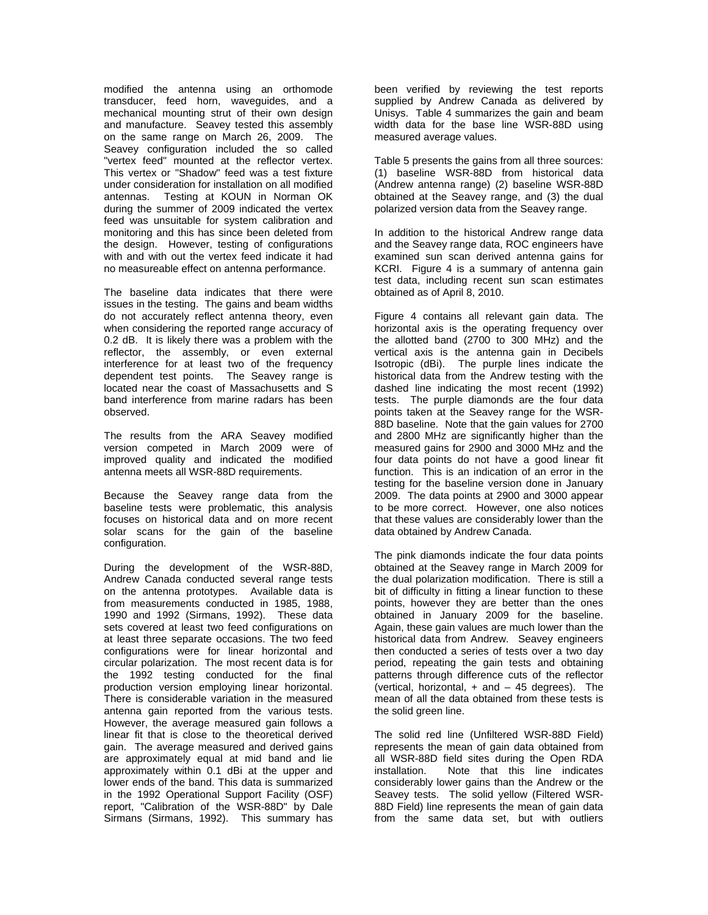modified the antenna using an orthomode transducer, feed horn, waveguides, and a mechanical mounting strut of their own design and manufacture. Seavey tested this assembly on the same range on March 26, 2009. The Seavey configuration included the so called "vertex feed" mounted at the reflector vertex. This vertex or "Shadow" feed was a test fixture under consideration for installation on all modified antennas. Testing at KOUN in Norman OK during the summer of 2009 indicated the vertex feed was unsuitable for system calibration and monitoring and this has since been deleted from the design. However, testing of configurations with and with out the vertex feed indicate it had no measureable effect on antenna performance.

The baseline data indicates that there were issues in the testing. The gains and beam widths do not accurately reflect antenna theory, even when considering the reported range accuracy of 0.2 dB. It is likely there was a problem with the reflector, the assembly, or even external interference for at least two of the frequency dependent test points. The Seavey range is located near the coast of Massachusetts and S band interference from marine radars has been observed.

The results from the ARA Seavey modified version competed in March 2009 were of improved quality and indicated the modified antenna meets all WSR-88D requirements.

Because the Seavey range data from the baseline tests were problematic, this analysis focuses on historical data and on more recent solar scans for the gain of the baseline configuration.

During the development of the WSR-88D, Andrew Canada conducted several range tests on the antenna prototypes. Available data is from measurements conducted in 1985, 1988, 1990 and 1992 (Sirmans, 1992). These data sets covered at least two feed configurations on at least three separate occasions. The two feed configurations were for linear horizontal and circular polarization. The most recent data is for the 1992 testing conducted for the final production version employing linear horizontal. There is considerable variation in the measured antenna gain reported from the various tests. However, the average measured gain follows a linear fit that is close to the theoretical derived gain. The average measured and derived gains are approximately equal at mid band and lie approximately within 0.1 dBi at the upper and lower ends of the band. This data is summarized in the 1992 Operational Support Facility (OSF) report, "Calibration of the WSR-88D" by Dale Sirmans (Sirmans, 1992). This summary has

been verified by reviewing the test reports supplied by Andrew Canada as delivered by Unisys. Table 4 summarizes the gain and beam width data for the base line WSR-88D using measured average values.

Table 5 presents the gains from all three sources: (1) baseline WSR-88D from historical data (Andrew antenna range) (2) baseline WSR-88D obtained at the Seavey range, and (3) the dual polarized version data from the Seavey range.

In addition to the historical Andrew range data and the Seavey range data, ROC engineers have examined sun scan derived antenna gains for KCRI. Figure 4 is a summary of antenna gain test data, including recent sun scan estimates obtained as of April 8, 2010.

Figure 4 contains all relevant gain data. The horizontal axis is the operating frequency over the allotted band (2700 to 300 MHz) and the vertical axis is the antenna gain in Decibels Isotropic (dBi). The purple lines indicate the historical data from the Andrew testing with the dashed line indicating the most recent (1992) tests. The purple diamonds are the four data points taken at the Seavey range for the WSR-88D baseline. Note that the gain values for 2700 and 2800 MHz are significantly higher than the measured gains for 2900 and 3000 MHz and the four data points do not have a good linear fit function. This is an indication of an error in the testing for the baseline version done in January 2009. The data points at 2900 and 3000 appear to be more correct. However, one also notices that these values are considerably lower than the data obtained by Andrew Canada.

The pink diamonds indicate the four data points obtained at the Seavey range in March 2009 for the dual polarization modification. There is still a bit of difficulty in fitting a linear function to these points, however they are better than the ones obtained in January 2009 for the baseline. Again, these gain values are much lower than the historical data from Andrew. Seavey engineers then conducted a series of tests over a two day period, repeating the gain tests and obtaining patterns through difference cuts of the reflector (vertical, horizontal,  $+$  and  $-$  45 degrees). The mean of all the data obtained from these tests is the solid green line.

The solid red line (Unfiltered WSR-88D Field) represents the mean of gain data obtained from all WSR-88D field sites during the Open RDA installation. Note that this line indicates considerably lower gains than the Andrew or the Seavey tests. The solid yellow (Filtered WSR-88D Field) line represents the mean of gain data from the same data set, but with outliers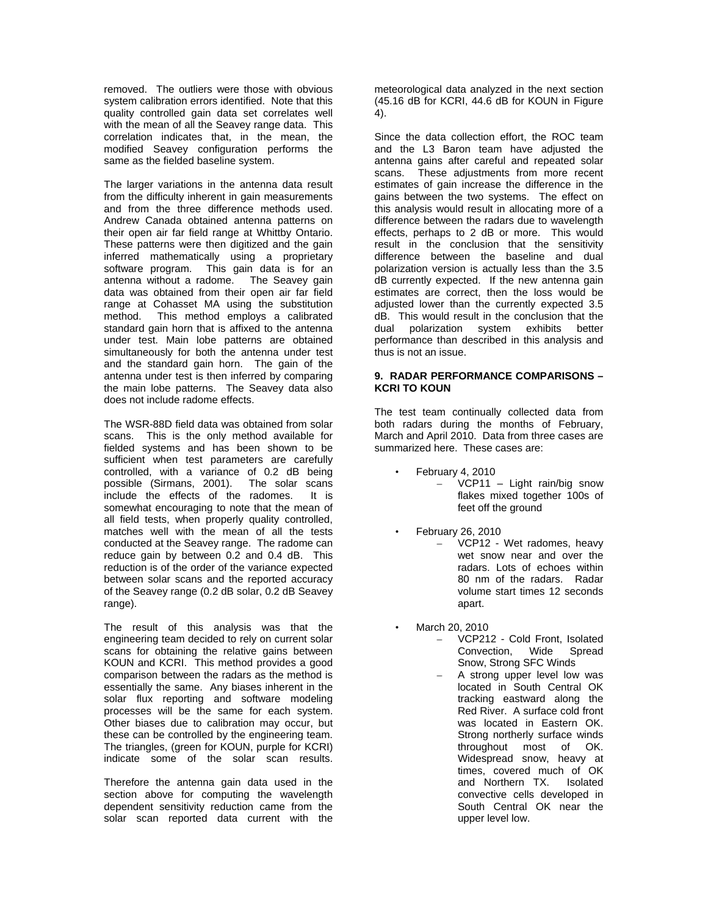removed. The outliers were those with obvious system calibration errors identified. Note that this quality controlled gain data set correlates well with the mean of all the Seavey range data. This correlation indicates that, in the mean, the modified Seavey configuration performs the same as the fielded baseline system.

The larger variations in the antenna data result from the difficulty inherent in gain measurements and from the three difference methods used. Andrew Canada obtained antenna patterns on their open air far field range at Whittby Ontario. These patterns were then digitized and the gain inferred mathematically using a proprietary software program. This gain data is for an antenna without a radome. The Seavey gain data was obtained from their open air far field range at Cohasset MA using the substitution method. This method employs a calibrated standard gain horn that is affixed to the antenna under test. Main lobe patterns are obtained simultaneously for both the antenna under test and the standard gain horn. The gain of the antenna under test is then inferred by comparing the main lobe patterns. The Seavey data also does not include radome effects.

The WSR-88D field data was obtained from solar scans. This is the only method available for fielded systems and has been shown to be sufficient when test parameters are carefully controlled, with a variance of 0.2 dB being possible (Sirmans, 2001). The solar scans include the effects of the radomes. It is somewhat encouraging to note that the mean of all field tests, when properly quality controlled, matches well with the mean of all the tests conducted at the Seavey range. The radome can reduce gain by between 0.2 and 0.4 dB. This reduction is of the order of the variance expected between solar scans and the reported accuracy of the Seavey range (0.2 dB solar, 0.2 dB Seavey range).

The result of this analysis was that the engineering team decided to rely on current solar scans for obtaining the relative gains between KOUN and KCRI. This method provides a good comparison between the radars as the method is essentially the same. Any biases inherent in the solar flux reporting and software modeling processes will be the same for each system. Other biases due to calibration may occur, but these can be controlled by the engineering team. The triangles, (green for KOUN, purple for KCRI) indicate some of the solar scan results.

Therefore the antenna gain data used in the section above for computing the wavelength dependent sensitivity reduction came from the solar scan reported data current with the

meteorological data analyzed in the next section (45.16 dB for KCRI, 44.6 dB for KOUN in Figure 4).

Since the data collection effort, the ROC team and the L3 Baron team have adjusted the antenna gains after careful and repeated solar scans. These adjustments from more recent estimates of gain increase the difference in the gains between the two systems. The effect on this analysis would result in allocating more of a difference between the radars due to wavelength effects, perhaps to 2 dB or more. This would result in the conclusion that the sensitivity difference between the baseline and dual polarization version is actually less than the 3.5 dB currently expected. If the new antenna gain estimates are correct, then the loss would be adjusted lower than the currently expected 3.5 dB. This would result in the conclusion that the dual polarization system exhibits better performance than described in this analysis and thus is not an issue.

### **9. RADAR PERFORMANCE COMPARISONS – KCRI TO KOUN**

The test team continually collected data from both radars during the months of February, March and April 2010. Data from three cases are summarized here. These cases are:

- February 4, 2010 – VCP11 – Light rain/big snow flakes mixed together 100s of feet off the ground
- February 26, 2010 – VCP12 - Wet radomes, heavy wet snow near and over the radars. Lots of echoes within 80 nm of the radars. Radar volume start times 12 seconds apart.
- March 20, 2010
	- VCP212 Cold Front, Isolated Convection, Wide Spread Snow, Strong SFC Winds
	- A strong upper level low was located in South Central OK tracking eastward along the Red River. A surface cold front was located in Eastern OK. Strong northerly surface winds throughout most of OK. Widespread snow, heavy at times, covered much of OK and Northern TX. Isolated convective cells developed in South Central OK near the upper level low.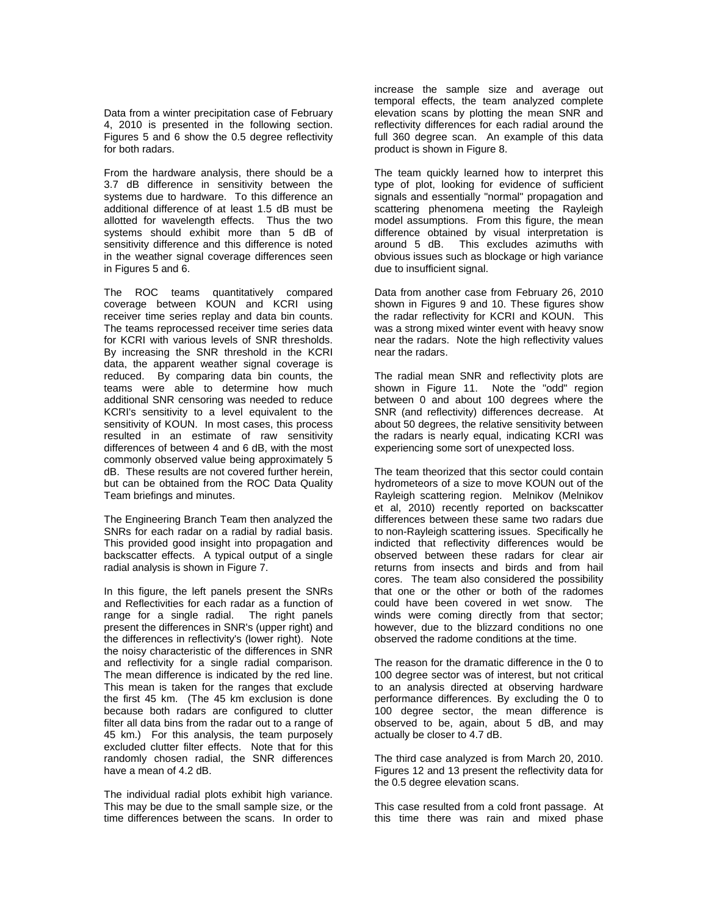Data from a winter precipitation case of February 4, 2010 is presented in the following section. Figures 5 and 6 show the 0.5 degree reflectivity for both radars.

From the hardware analysis, there should be a 3.7 dB difference in sensitivity between the systems due to hardware. To this difference an additional difference of at least 1.5 dB must be allotted for wavelength effects. Thus the two systems should exhibit more than 5 dB of sensitivity difference and this difference is noted in the weather signal coverage differences seen in Figures 5 and 6.

The ROC teams quantitatively compared coverage between KOUN and KCRI using receiver time series replay and data bin counts. The teams reprocessed receiver time series data for KCRI with various levels of SNR thresholds. By increasing the SNR threshold in the KCRI data, the apparent weather signal coverage is reduced. By comparing data bin counts, the teams were able to determine how much additional SNR censoring was needed to reduce KCRI's sensitivity to a level equivalent to the sensitivity of KOUN. In most cases, this process resulted in an estimate of raw sensitivity differences of between 4 and 6 dB, with the most commonly observed value being approximately 5 dB. These results are not covered further herein, but can be obtained from the ROC Data Quality Team briefings and minutes.

The Engineering Branch Team then analyzed the SNRs for each radar on a radial by radial basis. This provided good insight into propagation and backscatter effects. A typical output of a single radial analysis is shown in Figure 7.

In this figure, the left panels present the SNRs and Reflectivities for each radar as a function of range for a single radial. The right panels present the differences in SNR's (upper right) and the differences in reflectivity's (lower right). Note the noisy characteristic of the differences in SNR and reflectivity for a single radial comparison. The mean difference is indicated by the red line. This mean is taken for the ranges that exclude the first 45 km. (The 45 km exclusion is done because both radars are configured to clutter filter all data bins from the radar out to a range of 45 km.) For this analysis, the team purposely excluded clutter filter effects. Note that for this randomly chosen radial, the SNR differences have a mean of 4.2 dB.

The individual radial plots exhibit high variance. This may be due to the small sample size, or the time differences between the scans. In order to increase the sample size and average out temporal effects, the team analyzed complete elevation scans by plotting the mean SNR and reflectivity differences for each radial around the full 360 degree scan. An example of this data product is shown in Figure 8.

The team quickly learned how to interpret this type of plot, looking for evidence of sufficient signals and essentially "normal" propagation and scattering phenomena meeting the Rayleigh model assumptions. From this figure, the mean difference obtained by visual interpretation is around 5 dB. This excludes azimuths with obvious issues such as blockage or high variance due to insufficient signal.

Data from another case from February 26, 2010 shown in Figures 9 and 10. These figures show the radar reflectivity for KCRI and KOUN. This was a strong mixed winter event with heavy snow near the radars. Note the high reflectivity values near the radars.

The radial mean SNR and reflectivity plots are shown in Figure 11. Note the "odd" region between 0 and about 100 degrees where the SNR (and reflectivity) differences decrease. At about 50 degrees, the relative sensitivity between the radars is nearly equal, indicating KCRI was experiencing some sort of unexpected loss.

The team theorized that this sector could contain hydrometeors of a size to move KOUN out of the Rayleigh scattering region. Melnikov (Melnikov et al, 2010) recently reported on backscatter differences between these same two radars due to non-Rayleigh scattering issues. Specifically he indicted that reflectivity differences would be observed between these radars for clear air returns from insects and birds and from hail cores. The team also considered the possibility that one or the other or both of the radomes could have been covered in wet snow. The winds were coming directly from that sector; however, due to the blizzard conditions no one observed the radome conditions at the time.

The reason for the dramatic difference in the 0 to 100 degree sector was of interest, but not critical to an analysis directed at observing hardware performance differences. By excluding the 0 to 100 degree sector, the mean difference is observed to be, again, about 5 dB, and may actually be closer to 4.7 dB.

The third case analyzed is from March 20, 2010. Figures 12 and 13 present the reflectivity data for the 0.5 degree elevation scans.

This case resulted from a cold front passage. At this time there was rain and mixed phase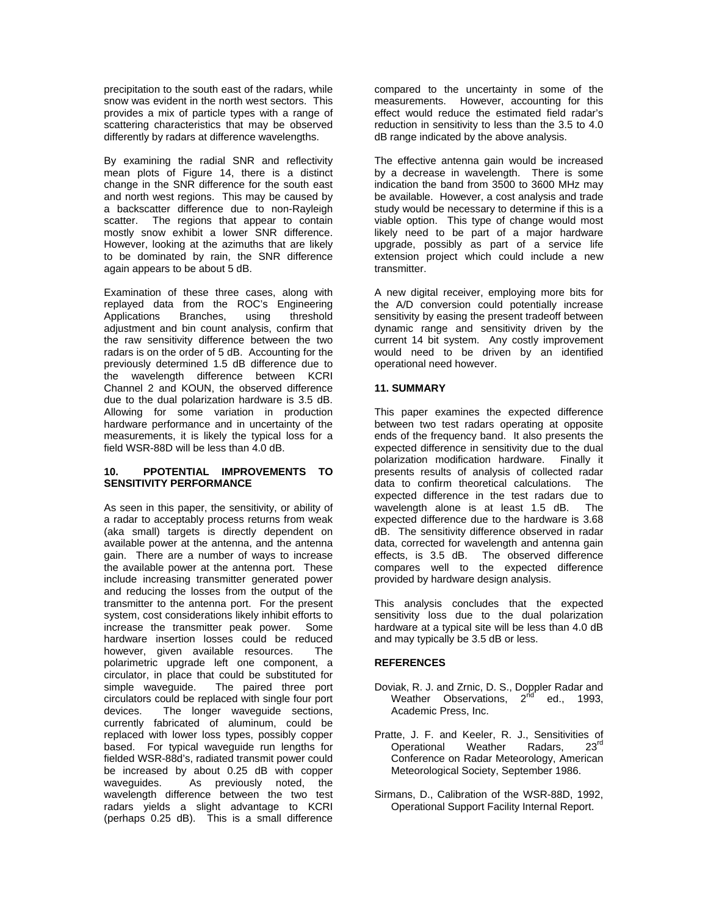precipitation to the south east of the radars, while snow was evident in the north west sectors. This provides a mix of particle types with a range of scattering characteristics that may be observed differently by radars at difference wavelengths.

By examining the radial SNR and reflectivity mean plots of Figure 14, there is a distinct change in the SNR difference for the south east and north west regions. This may be caused by a backscatter difference due to non-Rayleigh scatter. The regions that appear to contain mostly snow exhibit a lower SNR difference. However, looking at the azimuths that are likely to be dominated by rain, the SNR difference again appears to be about 5 dB.

Examination of these three cases, along with replayed data from the ROC's Engineering Applications Branches, using threshold adjustment and bin count analysis, confirm that the raw sensitivity difference between the two radars is on the order of 5 dB. Accounting for the previously determined 1.5 dB difference due to the wavelength difference between KCRI Channel 2 and KOUN, the observed difference due to the dual polarization hardware is 3.5 dB. Allowing for some variation in production hardware performance and in uncertainty of the measurements, it is likely the typical loss for a field WSR-88D will be less than 4.0 dB.

#### **10. PPOTENTIAL IMPROVEMENTS TO SENSITIVITY PERFORMANCE**

As seen in this paper, the sensitivity, or ability of a radar to acceptably process returns from weak (aka small) targets is directly dependent on available power at the antenna, and the antenna gain. There are a number of ways to increase the available power at the antenna port. These include increasing transmitter generated power and reducing the losses from the output of the transmitter to the antenna port. For the present system, cost considerations likely inhibit efforts to increase the transmitter peak power. Some hardware insertion losses could be reduced however, given available resources. The polarimetric upgrade left one component, a circulator, in place that could be substituted for simple waveguide. The paired three port circulators could be replaced with single four port devices. The longer waveguide sections, currently fabricated of aluminum, could be replaced with lower loss types, possibly copper based. For typical waveguide run lengths for fielded WSR-88d's, radiated transmit power could be increased by about 0.25 dB with copper waveguides. As previously noted, the wavelength difference between the two test radars yields a slight advantage to KCRI (perhaps 0.25 dB). This is a small difference

compared to the uncertainty in some of the measurements. However, accounting for this effect would reduce the estimated field radar's reduction in sensitivity to less than the 3.5 to 4.0 dB range indicated by the above analysis.

The effective antenna gain would be increased by a decrease in wavelength. There is some indication the band from 3500 to 3600 MHz may be available. However, a cost analysis and trade study would be necessary to determine if this is a viable option. This type of change would most likely need to be part of a major hardware upgrade, possibly as part of a service life extension project which could include a new transmitter.

A new digital receiver, employing more bits for the A/D conversion could potentially increase sensitivity by easing the present tradeoff between dynamic range and sensitivity driven by the current 14 bit system. Any costly improvement would need to be driven by an identified operational need however.

# **11. SUMMARY**

This paper examines the expected difference between two test radars operating at opposite ends of the frequency band. It also presents the expected difference in sensitivity due to the dual polarization modification hardware. Finally it presents results of analysis of collected radar<br>data to confirm theoretical calculations. The data to confirm theoretical calculations. expected difference in the test radars due to wavelength alone is at least 1.5 dB. The expected difference due to the hardware is 3.68 dB. The sensitivity difference observed in radar data, corrected for wavelength and antenna gain effects, is 3.5 dB. The observed difference compares well to the expected difference provided by hardware design analysis.

This analysis concludes that the expected sensitivity loss due to the dual polarization hardware at a typical site will be less than 4.0 dB and may typically be 3.5 dB or less.

# **REFERENCES**

- Doviak, R. J. and Zrnic, D. S., Doppler Radar and Weather Observations,  $2^{nd}$  ed., 1993, Academic Press, Inc.
- Pratte, J. F. and Keeler, R. J., Sensitivities of<br>Operational Weather Radars. 23<sup>rd</sup> Operational Weather Radars, Conference on Radar Meteorology, American Meteorological Society, September 1986.
- Sirmans, D., Calibration of the WSR-88D, 1992, Operational Support Facility Internal Report.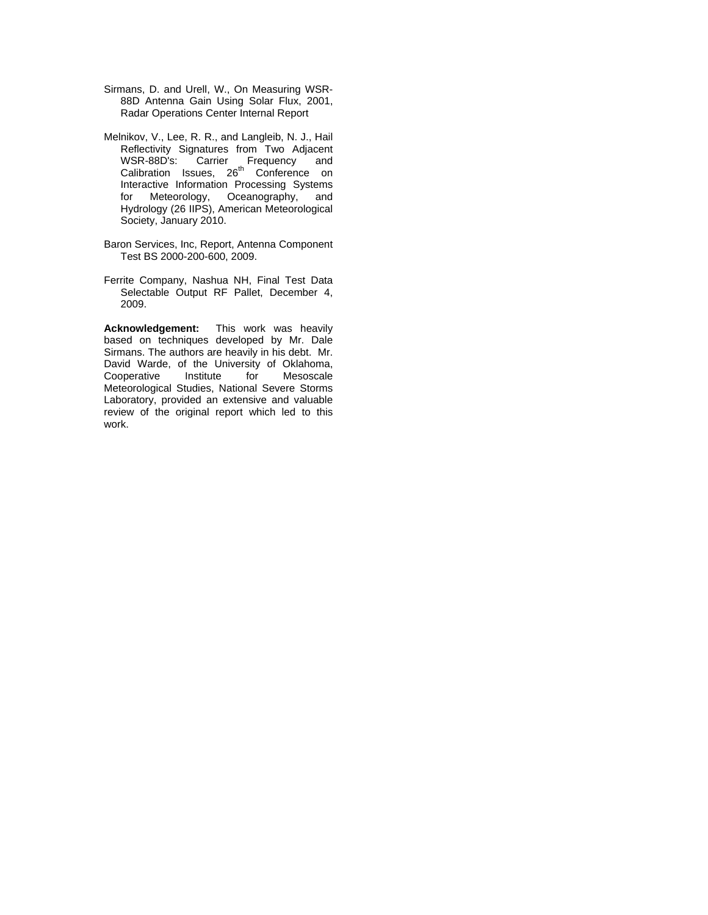- Sirmans, D. and Urell, W., On Measuring WSR-88D Antenna Gain Using Solar Flux, 2001, Radar Operations Center Internal Report
- Melnikov, V., Lee, R. R., and Langleib, N. J., Hail Reflectivity Signatures from Two Adjacent WSR-88D's: Carrier Frequency and Calibration Issues, 26<sup>th</sup> Conference on Interactive Information Processing Systems for Meteorology, Oceanography, and Hydrology (26 IIPS), American Meteorological Society, January 2010.
- Baron Services, Inc, Report, Antenna Component Test BS 2000-200-600, 2009.
- Ferrite Company, Nashua NH, Final Test Data Selectable Output RF Pallet, December 4, 2009.

**Acknowledgement:** This work was heavily based on techniques developed by Mr. Dale Sirmans. The authors are heavily in his debt. Mr. David Warde, of the University of Oklahoma,<br>Cooperative Institute for Mesoscale Mesoscale Meteorological Studies, National Severe Storms Laboratory, provided an extensive and valuable review of the original report which led to this work.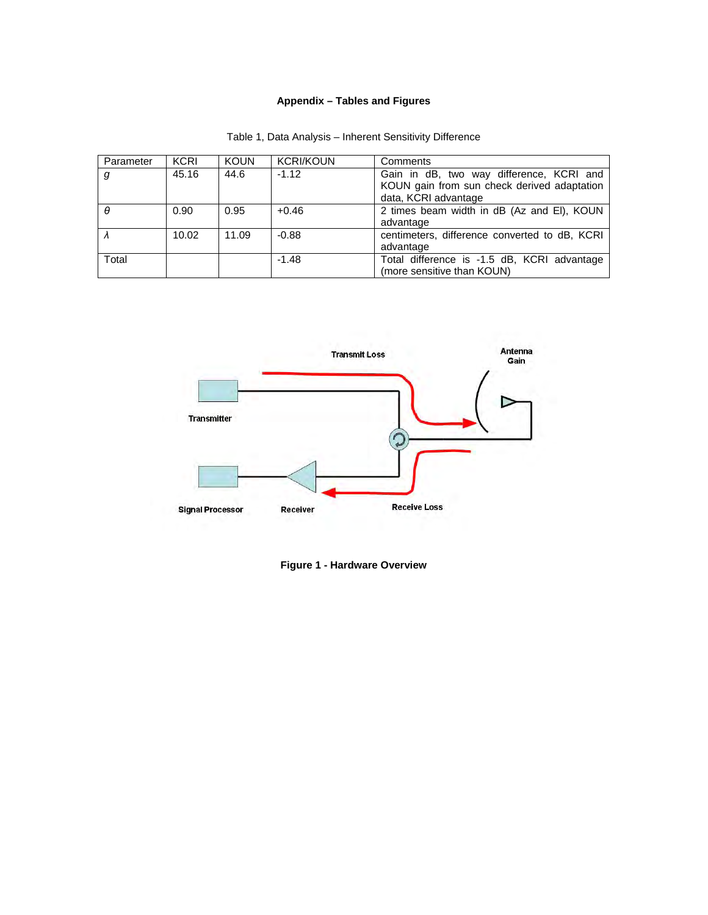# **Appendix – Tables and Figures**

| Parameter | <b>KCRI</b> | <b>KOUN</b> | <b>KCRI/KOUN</b> | Comments                                                                                                        |
|-----------|-------------|-------------|------------------|-----------------------------------------------------------------------------------------------------------------|
| g         | 45.16       | 44.6        | $-1.12$          | Gain in dB, two way difference, KCRI and<br>KOUN gain from sun check derived adaptation<br>data, KCRI advantage |
| $\theta$  | 0.90        | 0.95        | $+0.46$          | 2 times beam width in dB (Az and EI), KOUN<br>advantage                                                         |
|           | 10.02       | 11.09       | $-0.88$          | centimeters, difference converted to dB, KCRI<br>advantage                                                      |
| Total     |             |             | $-1.48$          | Total difference is -1.5 dB, KCRI advantage<br>(more sensitive than KOUN)                                       |

| Table 1, Data Analysis - Inherent Sensitivity Difference |  |  |
|----------------------------------------------------------|--|--|
|----------------------------------------------------------|--|--|



**Figure 1 - Hardware Overview**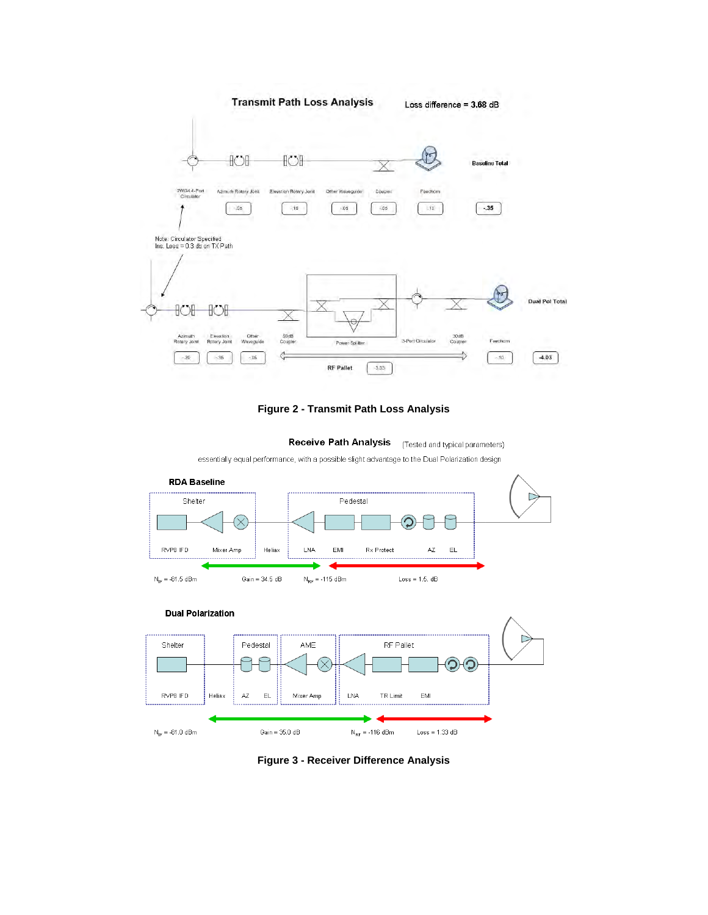



**Receive Path Analysis** (Tested and typical parameters)

essentially equal performance, with a possible slight advantage to the Dual Polarization design





**Figure 3 - Receiver Difference Analysis**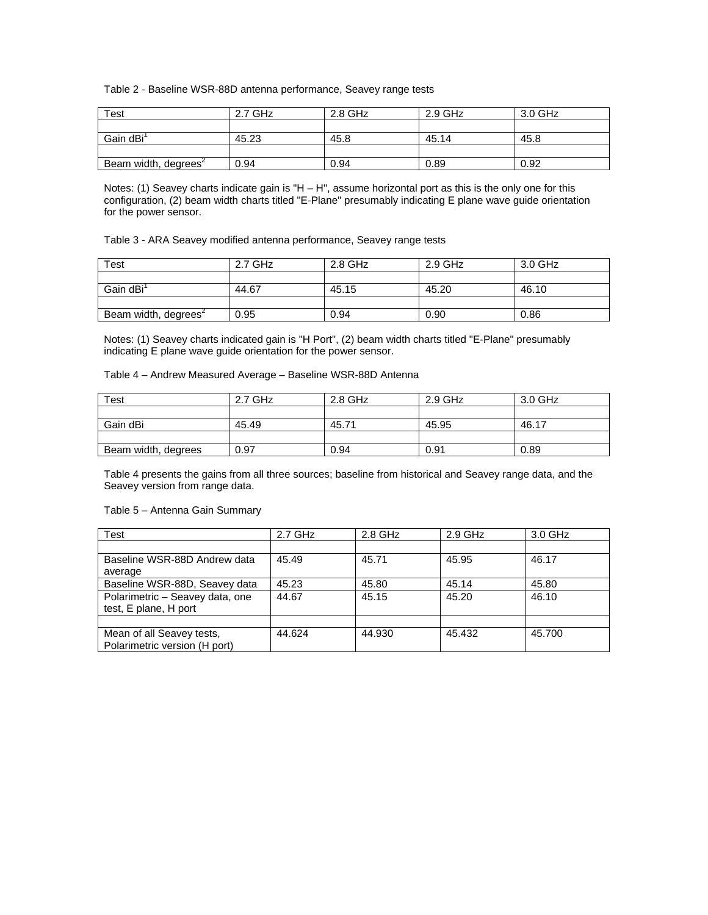# Table 2 - Baseline WSR-88D antenna performance, Seavey range tests

| Test                             | 2.7 GHz | 2.8 GHz | 2.9 GHz | 3.0 GHz |
|----------------------------------|---------|---------|---------|---------|
|                                  |         |         |         |         |
| Gain dBi <sup>1</sup>            | 45.23   | 45.8    | 45.14   | 45.8    |
|                                  |         |         |         |         |
| Beam width, degrees <sup>2</sup> | 0.94    | 0.94    | 0.89    | 0.92    |

Notes: (1) Seavey charts indicate gain is "H – H", assume horizontal port as this is the only one for this configuration, (2) beam width charts titled "E-Plane" presumably indicating E plane wave guide orientation for the power sensor.

Table 3 - ARA Seavey modified antenna performance, Seavey range tests

| Test                             | 2.7 GHz | 2.8 GHz | 2.9 GHz | 3.0 GHz |
|----------------------------------|---------|---------|---------|---------|
|                                  |         |         |         |         |
| Gain dBi <sup>1</sup>            | 44.67   | 45.15   | 45.20   | 46.10   |
|                                  |         |         |         |         |
| Beam width, degrees <sup>2</sup> | 0.95    | 0.94    | 0.90    | 0.86    |

Notes: (1) Seavey charts indicated gain is "H Port", (2) beam width charts titled "E-Plane" presumably indicating E plane wave guide orientation for the power sensor.

Table 4 – Andrew Measured Average – Baseline WSR-88D Antenna

| <b>Test</b>         | 2.7 GHz | 2.8 GHz | $2.9$ GHz | 3.0 GHz |
|---------------------|---------|---------|-----------|---------|
|                     |         |         |           |         |
| Gain dBi            | 45.49   | 45.71   | 45.95     | 46.17   |
|                     |         |         |           |         |
| Beam width, degrees | 0.97    | 0.94    | 0.91      | 0.89    |

Table 4 presents the gains from all three sources; baseline from historical and Seavey range data, and the Seavey version from range data.

#### Table 5 – Antenna Gain Summary

| <b>Test</b>                                                | 2.7 GHz | 2.8 GHz | $2.9$ GHz | 3.0 GHz |
|------------------------------------------------------------|---------|---------|-----------|---------|
|                                                            |         |         |           |         |
| Baseline WSR-88D Andrew data                               | 45.49   | 45.71   | 45.95     | 46.17   |
| average                                                    |         |         |           |         |
| Baseline WSR-88D, Seavey data                              | 45.23   | 45.80   | 45.14     | 45.80   |
| Polarimetric - Seavey data, one<br>test, E plane, H port   | 44.67   | 45.15   | 45.20     | 46.10   |
|                                                            |         |         |           |         |
| Mean of all Seavey tests,<br>Polarimetric version (H port) | 44.624  | 44.930  | 45.432    | 45.700  |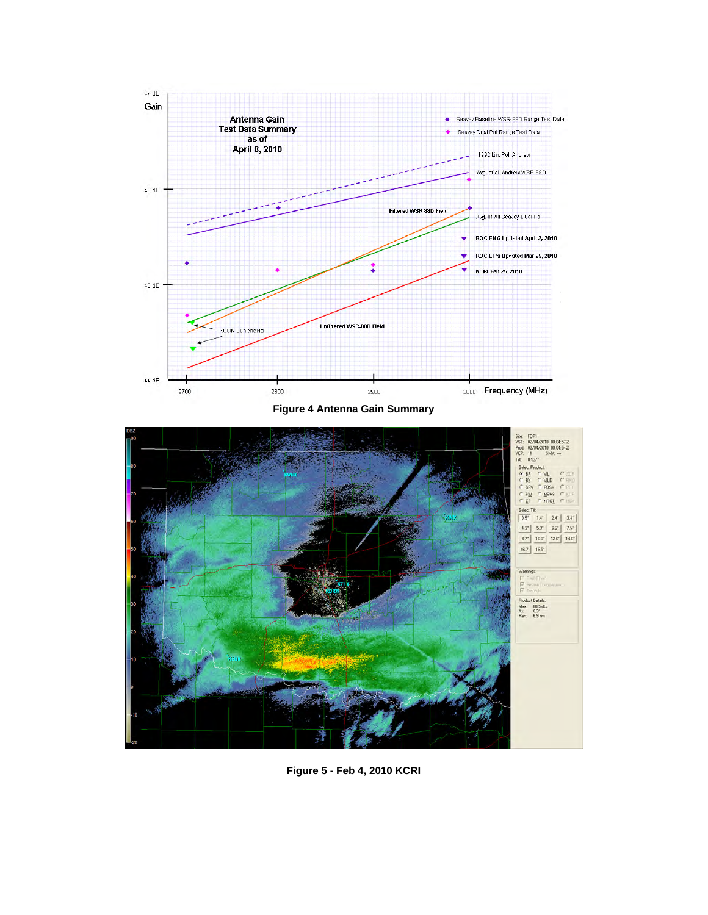

**Figure 4 Antenna Gain Summary** 



**Figure 5 - Feb 4, 2010 KCRI**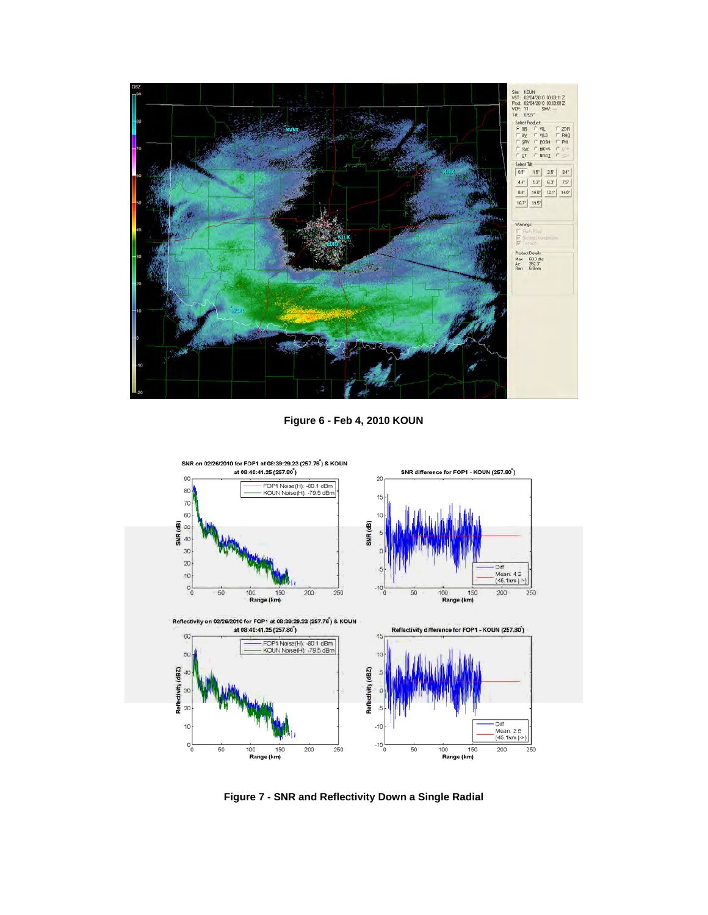

**Figure 6 - Feb 4, 2010 KOUN** 



**Figure 7 - SNR and Reflectivity Down a Single Radial**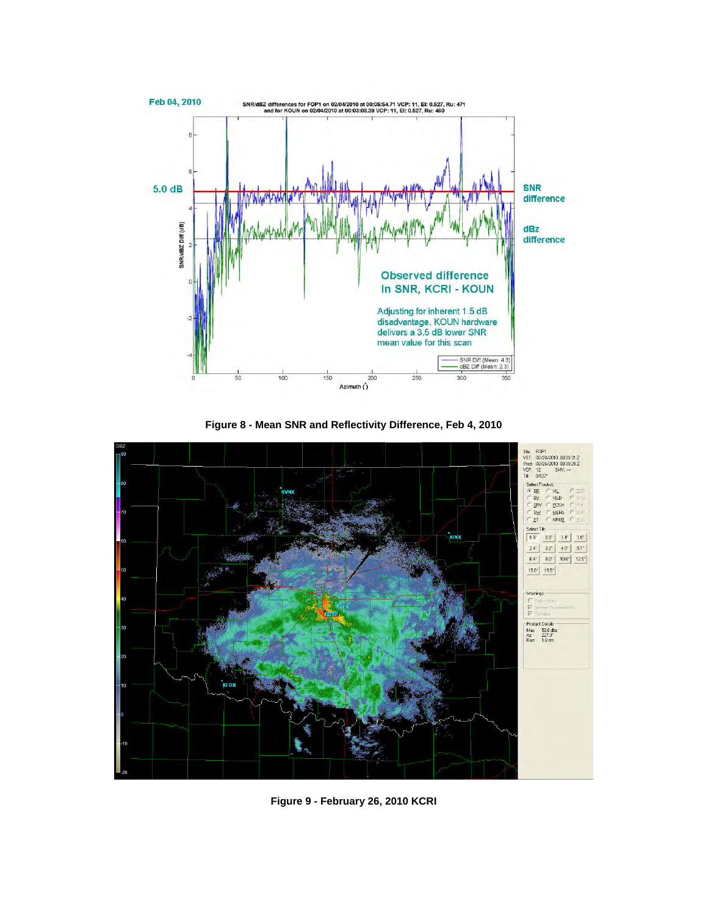

**Figure 8 - Mean SNR and Reflectivity Difference, Feb 4, 2010** 



**Figure 9 - February 26, 2010 KCRI**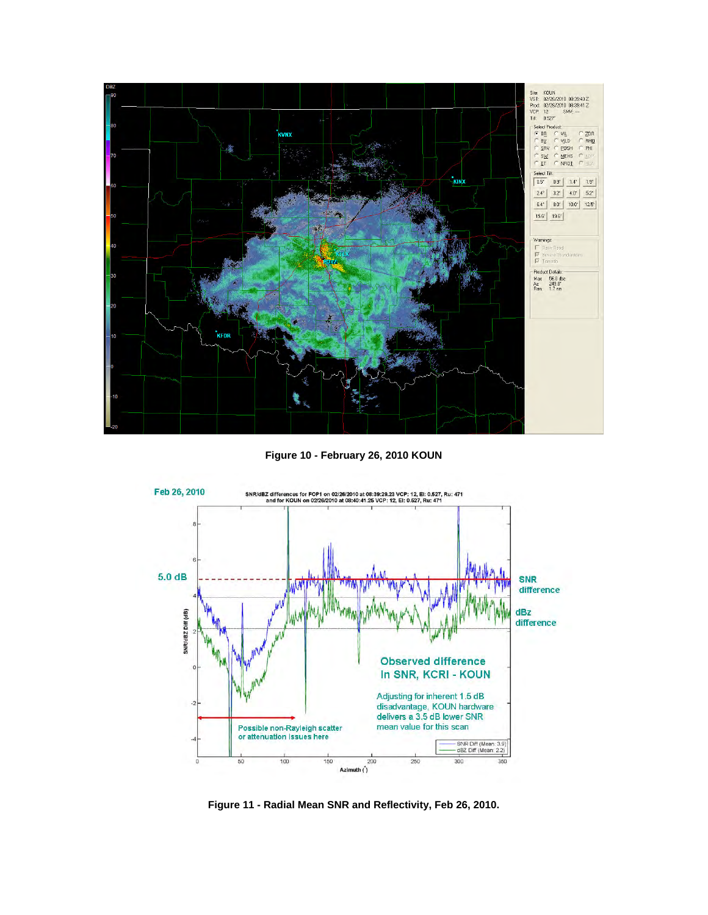

**Figure 10 - February 26, 2010 KOUN** 



**Figure 11 - Radial Mean SNR and Reflectivity, Feb 26, 2010.**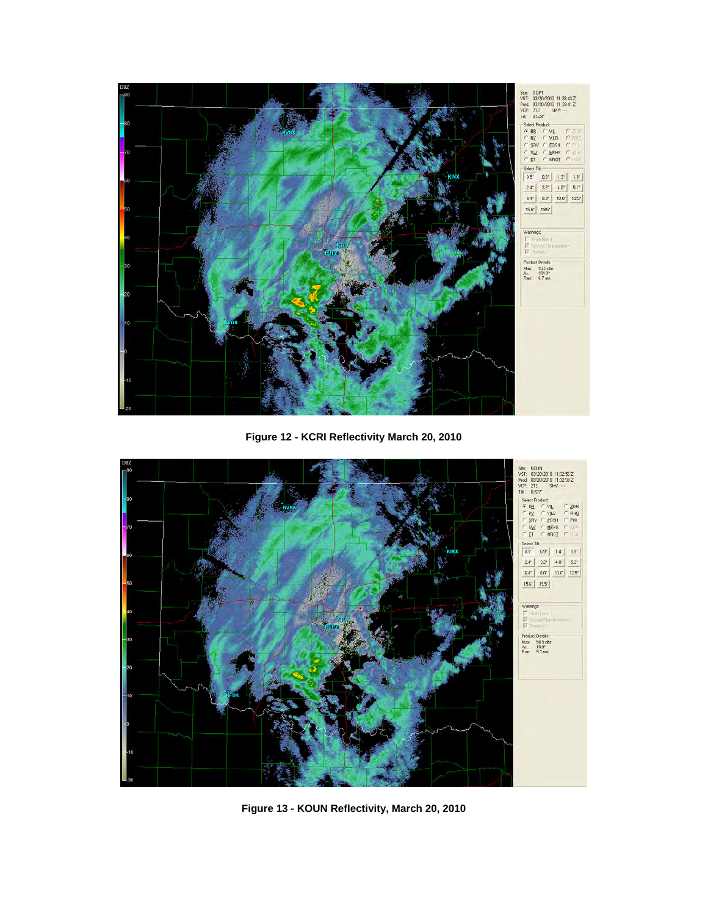

**Figure 12 - KCRI Reflectivity March 20, 2010** 



**Figure 13 - KOUN Reflectivity, March 20, 2010**